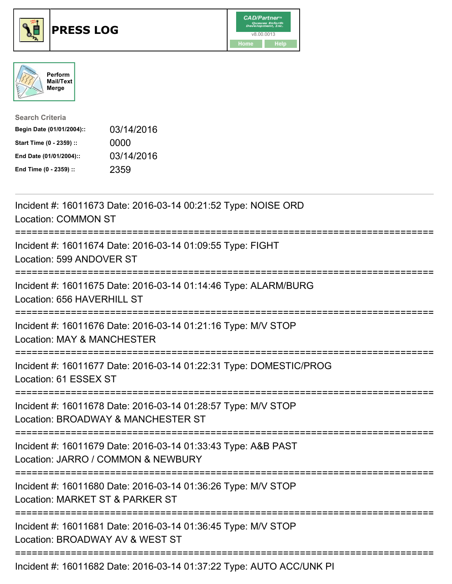





| <b>Search Criteria</b>    |            |
|---------------------------|------------|
| Begin Date (01/01/2004):: | 03/14/2016 |
| Start Time (0 - 2359) ::  | 0000       |
| End Date (01/01/2004)::   | 03/14/2016 |
| End Time (0 - 2359) ::    | 2359       |

| Incident #: 16011673 Date: 2016-03-14 00:21:52 Type: NOISE ORD<br><b>Location: COMMON ST</b>                                         |
|--------------------------------------------------------------------------------------------------------------------------------------|
| Incident #: 16011674 Date: 2016-03-14 01:09:55 Type: FIGHT<br>Location: 599 ANDOVER ST                                               |
| Incident #: 16011675 Date: 2016-03-14 01:14:46 Type: ALARM/BURG<br>Location: 656 HAVERHILL ST                                        |
| Incident #: 16011676 Date: 2016-03-14 01:21:16 Type: M/V STOP<br><b>Location: MAY &amp; MANCHESTER</b>                               |
| Incident #: 16011677 Date: 2016-03-14 01:22:31 Type: DOMESTIC/PROG<br>Location: 61 ESSEX ST<br>===================================== |
| Incident #: 16011678 Date: 2016-03-14 01:28:57 Type: M/V STOP<br>Location: BROADWAY & MANCHESTER ST                                  |
| Incident #: 16011679 Date: 2016-03-14 01:33:43 Type: A&B PAST<br>Location: JARRO / COMMON & NEWBURY                                  |
| Incident #: 16011680 Date: 2016-03-14 01:36:26 Type: M/V STOP<br>Location: MARKET ST & PARKER ST                                     |
| Incident #: 16011681 Date: 2016-03-14 01:36:45 Type: M/V STOP<br>Location: BROADWAY AV & WEST ST                                     |
| $\blacksquare$                                                                                                                       |

Incident #: 16011682 Date: 2016-03-14 01:37:22 Type: AUTO ACC/UNK PI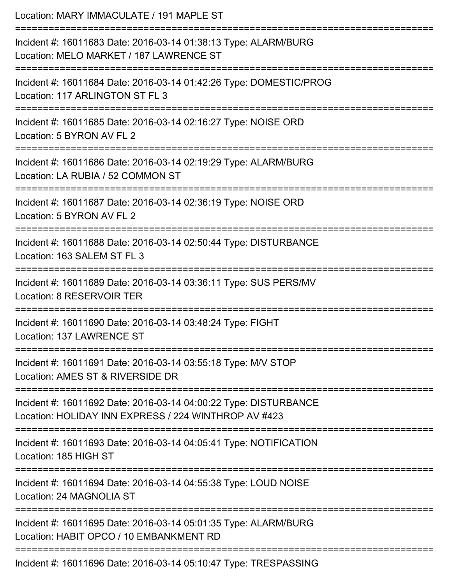| Location: MARY IMMACULATE / 191 MAPLE ST                                                                                              |
|---------------------------------------------------------------------------------------------------------------------------------------|
| Incident #: 16011683 Date: 2016-03-14 01:38:13 Type: ALARM/BURG<br>Location: MELO MARKET / 187 LAWRENCE ST<br>======================= |
| Incident #: 16011684 Date: 2016-03-14 01:42:26 Type: DOMESTIC/PROG<br>Location: 117 ARLINGTON ST FL 3                                 |
| Incident #: 16011685 Date: 2016-03-14 02:16:27 Type: NOISE ORD<br>Location: 5 BYRON AV FL 2                                           |
| Incident #: 16011686 Date: 2016-03-14 02:19:29 Type: ALARM/BURG<br>Location: LA RUBIA / 52 COMMON ST                                  |
| Incident #: 16011687 Date: 2016-03-14 02:36:19 Type: NOISE ORD<br>Location: 5 BYRON AV FL 2                                           |
| Incident #: 16011688 Date: 2016-03-14 02:50:44 Type: DISTURBANCE<br>Location: 163 SALEM ST FL 3                                       |
| Incident #: 16011689 Date: 2016-03-14 03:36:11 Type: SUS PERS/MV<br>Location: 8 RESERVOIR TER                                         |
| Incident #: 16011690 Date: 2016-03-14 03:48:24 Type: FIGHT<br>Location: 137 LAWRENCE ST                                               |
| Incident #: 16011691 Date: 2016-03-14 03:55:18 Type: M/V STOP<br>Location: AMES ST & RIVERSIDE DR                                     |
| Incident #: 16011692 Date: 2016-03-14 04:00:22 Type: DISTURBANCE<br>Location: HOLIDAY INN EXPRESS / 224 WINTHROP AV #423              |
| Incident #: 16011693 Date: 2016-03-14 04:05:41 Type: NOTIFICATION<br>Location: 185 HIGH ST                                            |
| Incident #: 16011694 Date: 2016-03-14 04:55:38 Type: LOUD NOISE<br>Location: 24 MAGNOLIA ST                                           |
| --------------<br>Incident #: 16011695 Date: 2016-03-14 05:01:35 Type: ALARM/BURG<br>Location: HABIT OPCO / 10 EMBANKMENT RD          |
| Incident #: 16011696 Date: 2016-03-14 05:10:47 Type: TRESPASSING                                                                      |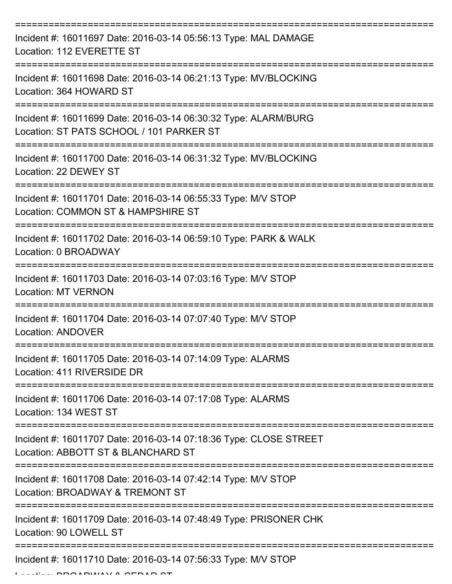| Incident #: 16011697 Date: 2016-03-14 05:56:13 Type: MAL DAMAGE<br>Location: 112 EVERETTE ST                |
|-------------------------------------------------------------------------------------------------------------|
| Incident #: 16011698 Date: 2016-03-14 06:21:13 Type: MV/BLOCKING<br>Location: 364 HOWARD ST                 |
| Incident #: 16011699 Date: 2016-03-14 06:30:32 Type: ALARM/BURG<br>Location: ST PATS SCHOOL / 101 PARKER ST |
| Incident #: 16011700 Date: 2016-03-14 06:31:32 Type: MV/BLOCKING<br>Location: 22 DEWEY ST                   |
| Incident #: 16011701 Date: 2016-03-14 06:55:33 Type: M/V STOP<br>Location: COMMON ST & HAMPSHIRE ST         |
| Incident #: 16011702 Date: 2016-03-14 06:59:10 Type: PARK & WALK<br>Location: 0 BROADWAY                    |
| Incident #: 16011703 Date: 2016-03-14 07:03:16 Type: M/V STOP<br><b>Location: MT VERNON</b>                 |
| Incident #: 16011704 Date: 2016-03-14 07:07:40 Type: M/V STOP<br><b>Location: ANDOVER</b>                   |
| Incident #: 16011705 Date: 2016-03-14 07:14:09 Type: ALARMS<br>Location: 411 RIVERSIDE DR                   |
| Incident #: 16011706 Date: 2016-03-14 07:17:08 Type: ALARMS<br>Location: 134 WEST ST                        |
| Incident #: 16011707 Date: 2016-03-14 07:18:36 Type: CLOSE STREET<br>Location: ABBOTT ST & BLANCHARD ST     |
| Incident #: 16011708 Date: 2016-03-14 07:42:14 Type: M/V STOP<br>Location: BROADWAY & TREMONT ST            |
| Incident #: 16011709 Date: 2016-03-14 07:48:49 Type: PRISONER CHK<br>Location: 90 LOWELL ST                 |
| Incident #: 16011710 Date: 2016-03-14 07:56:33 Type: M/V STOP                                               |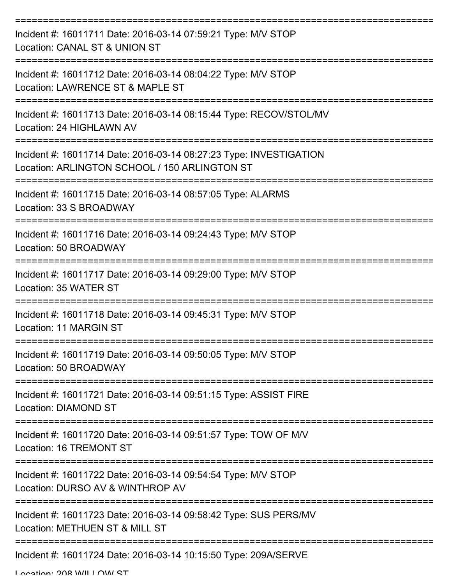| Incident #: 16011711 Date: 2016-03-14 07:59:21 Type: M/V STOP<br>Location: CANAL ST & UNION ST                      |
|---------------------------------------------------------------------------------------------------------------------|
| Incident #: 16011712 Date: 2016-03-14 08:04:22 Type: M/V STOP<br>Location: LAWRENCE ST & MAPLE ST                   |
| Incident #: 16011713 Date: 2016-03-14 08:15:44 Type: RECOV/STOL/MV<br>Location: 24 HIGHLAWN AV                      |
| Incident #: 16011714 Date: 2016-03-14 08:27:23 Type: INVESTIGATION<br>Location: ARLINGTON SCHOOL / 150 ARLINGTON ST |
| Incident #: 16011715 Date: 2016-03-14 08:57:05 Type: ALARMS<br>Location: 33 S BROADWAY                              |
| Incident #: 16011716 Date: 2016-03-14 09:24:43 Type: M/V STOP<br>Location: 50 BROADWAY                              |
| Incident #: 16011717 Date: 2016-03-14 09:29:00 Type: M/V STOP<br>Location: 35 WATER ST                              |
| Incident #: 16011718 Date: 2016-03-14 09:45:31 Type: M/V STOP<br>Location: 11 MARGIN ST                             |
| Incident #: 16011719 Date: 2016-03-14 09:50:05 Type: M/V STOP<br>Location: 50 BROADWAY                              |
| Incident #: 16011721 Date: 2016-03-14 09:51:15 Type: ASSIST FIRE<br><b>Location: DIAMOND ST</b>                     |
| Incident #: 16011720 Date: 2016-03-14 09:51:57 Type: TOW OF M/V<br>Location: 16 TREMONT ST                          |
| Incident #: 16011722 Date: 2016-03-14 09:54:54 Type: M/V STOP<br>Location: DURSO AV & WINTHROP AV                   |
| Incident #: 16011723 Date: 2016-03-14 09:58:42 Type: SUS PERS/MV<br>Location: METHUEN ST & MILL ST                  |
| Incident #: 16011724 Date: 2016-03-14 10:15:50 Type: 209A/SERVE                                                     |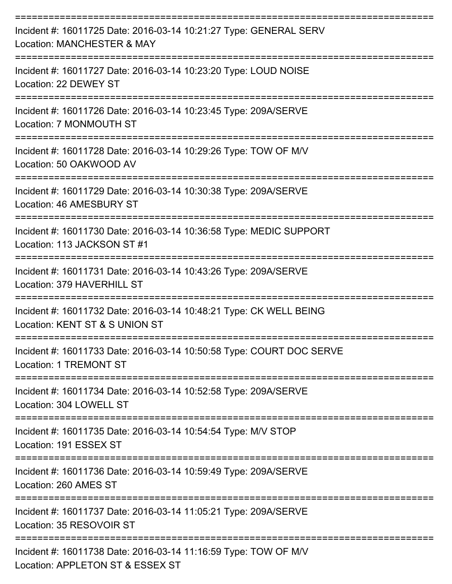| Incident #: 16011725 Date: 2016-03-14 10:21:27 Type: GENERAL SERV<br>Location: MANCHESTER & MAY       |
|-------------------------------------------------------------------------------------------------------|
| Incident #: 16011727 Date: 2016-03-14 10:23:20 Type: LOUD NOISE<br>Location: 22 DEWEY ST              |
| Incident #: 16011726 Date: 2016-03-14 10:23:45 Type: 209A/SERVE<br>Location: 7 MONMOUTH ST            |
| Incident #: 16011728 Date: 2016-03-14 10:29:26 Type: TOW OF M/V<br>Location: 50 OAKWOOD AV            |
| Incident #: 16011729 Date: 2016-03-14 10:30:38 Type: 209A/SERVE<br>Location: 46 AMESBURY ST           |
| Incident #: 16011730 Date: 2016-03-14 10:36:58 Type: MEDIC SUPPORT<br>Location: 113 JACKSON ST #1     |
| Incident #: 16011731 Date: 2016-03-14 10:43:26 Type: 209A/SERVE<br>Location: 379 HAVERHILL ST         |
| Incident #: 16011732 Date: 2016-03-14 10:48:21 Type: CK WELL BEING<br>Location: KENT ST & S UNION ST  |
| Incident #: 16011733 Date: 2016-03-14 10:50:58 Type: COURT DOC SERVE<br><b>Location: 1 TREMONT ST</b> |
| Incident #: 16011734 Date: 2016-03-14 10:52:58 Type: 209A/SERVE<br>Location: 304 LOWELL ST            |
| Incident #: 16011735 Date: 2016-03-14 10:54:54 Type: M/V STOP<br>Location: 191 ESSEX ST               |
| Incident #: 16011736 Date: 2016-03-14 10:59:49 Type: 209A/SERVE<br>Location: 260 AMES ST              |
| Incident #: 16011737 Date: 2016-03-14 11:05:21 Type: 209A/SERVE<br>Location: 35 RESOVOIR ST           |
| Incident #: 16011738 Date: 2016-03-14 11:16:59 Type: TOW OF M/V<br>Location: APPLETON ST & ESSEX ST   |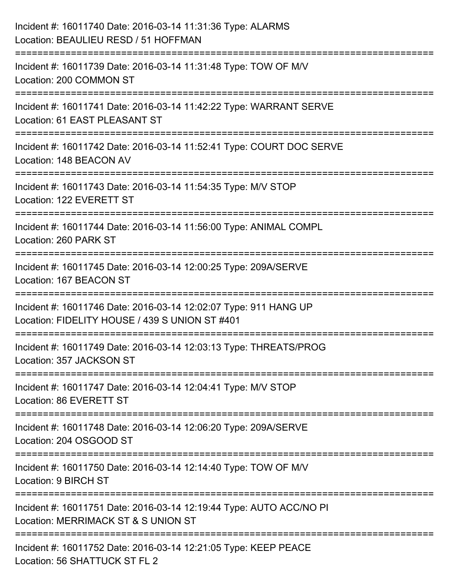| Incident #: 16011740 Date: 2016-03-14 11:31:36 Type: ALARMS<br>Location: BEAULIEU RESD / 51 HOFFMAN                |
|--------------------------------------------------------------------------------------------------------------------|
| ====================<br>Incident #: 16011739 Date: 2016-03-14 11:31:48 Type: TOW OF M/V<br>Location: 200 COMMON ST |
| Incident #: 16011741 Date: 2016-03-14 11:42:22 Type: WARRANT SERVE<br>Location: 61 EAST PLEASANT ST                |
| Incident #: 16011742 Date: 2016-03-14 11:52:41 Type: COURT DOC SERVE<br>Location: 148 BEACON AV                    |
| Incident #: 16011743 Date: 2016-03-14 11:54:35 Type: M/V STOP<br>Location: 122 EVERETT ST                          |
| Incident #: 16011744 Date: 2016-03-14 11:56:00 Type: ANIMAL COMPL<br>Location: 260 PARK ST                         |
| Incident #: 16011745 Date: 2016-03-14 12:00:25 Type: 209A/SERVE<br>Location: 167 BEACON ST                         |
| Incident #: 16011746 Date: 2016-03-14 12:02:07 Type: 911 HANG UP<br>Location: FIDELITY HOUSE / 439 S UNION ST #401 |
| Incident #: 16011749 Date: 2016-03-14 12:03:13 Type: THREATS/PROG<br>Location: 357 JACKSON ST                      |
| Incident #: 16011747 Date: 2016-03-14 12:04:41 Type: M/V STOP<br>Location: 86 EVERETT ST                           |
| Incident #: 16011748 Date: 2016-03-14 12:06:20 Type: 209A/SERVE<br>Location: 204 OSGOOD ST                         |
| Incident #: 16011750 Date: 2016-03-14 12:14:40 Type: TOW OF M/V<br>Location: 9 BIRCH ST                            |
| Incident #: 16011751 Date: 2016-03-14 12:19:44 Type: AUTO ACC/NO PI<br>Location: MERRIMACK ST & S UNION ST         |
| Incident #: 16011752 Date: 2016-03-14 12:21:05 Type: KEEP PEACE<br>Location: 56 SHATTUCK ST FL 2                   |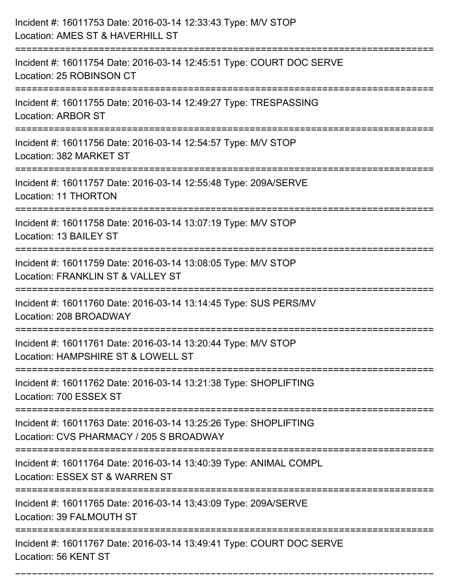| Incident #: 16011753 Date: 2016-03-14 12:33:43 Type: M/V STOP<br>Location: AMES ST & HAVERHILL ST                                                  |
|----------------------------------------------------------------------------------------------------------------------------------------------------|
| Incident #: 16011754 Date: 2016-03-14 12:45:51 Type: COURT DOC SERVE<br>Location: 25 ROBINSON CT                                                   |
| Incident #: 16011755 Date: 2016-03-14 12:49:27 Type: TRESPASSING<br><b>Location: ARBOR ST</b>                                                      |
| Incident #: 16011756 Date: 2016-03-14 12:54:57 Type: M/V STOP<br>Location: 382 MARKET ST                                                           |
| Incident #: 16011757 Date: 2016-03-14 12:55:48 Type: 209A/SERVE<br>Location: 11 THORTON                                                            |
| Incident #: 16011758 Date: 2016-03-14 13:07:19 Type: M/V STOP<br>Location: 13 BAILEY ST                                                            |
| Incident #: 16011759 Date: 2016-03-14 13:08:05 Type: M/V STOP<br>Location: FRANKLIN ST & VALLEY ST                                                 |
| Incident #: 16011760 Date: 2016-03-14 13:14:45 Type: SUS PERS/MV<br>Location: 208 BROADWAY                                                         |
| Incident #: 16011761 Date: 2016-03-14 13:20:44 Type: M/V STOP<br>Location: HAMPSHIRE ST & LOWELL ST                                                |
| Incident #: 16011762 Date: 2016-03-14 13:21:38 Type: SHOPLIFTING<br>Location: 700 ESSEX ST                                                         |
| ===================================<br>Incident #: 16011763 Date: 2016-03-14 13:25:26 Type: SHOPLIFTING<br>Location: CVS PHARMACY / 205 S BROADWAY |
| Incident #: 16011764 Date: 2016-03-14 13:40:39 Type: ANIMAL COMPL<br>Location: ESSEX ST & WARREN ST                                                |
| Incident #: 16011765 Date: 2016-03-14 13:43:09 Type: 209A/SERVE<br>Location: 39 FALMOUTH ST                                                        |
| Incident #: 16011767 Date: 2016-03-14 13:49:41 Type: COURT DOC SERVE<br>Location: 56 KENT ST                                                       |

===========================================================================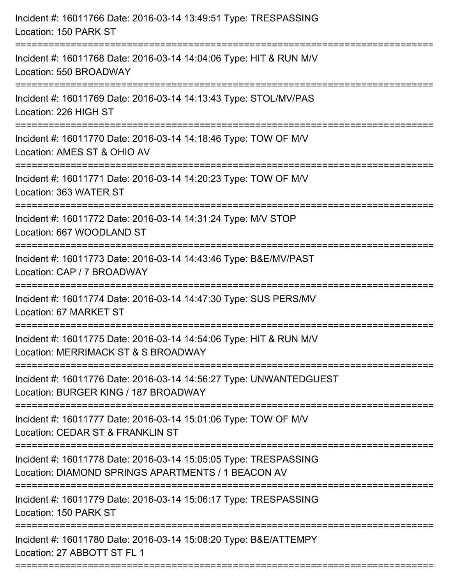| Incident #: 16011768 Date: 2016-03-14 14:04:06 Type: HIT & RUN M/V<br>Location: 550 BROADWAY<br>Incident #: 16011769 Date: 2016-03-14 14:13:43 Type: STOL/MV/PAS<br>Location: 226 HIGH ST<br>Incident #: 16011770 Date: 2016-03-14 14:18:46 Type: TOW OF M/V<br>Location: AMES ST & OHIO AV<br>Incident #: 16011771 Date: 2016-03-14 14:20:23 Type: TOW OF M/V<br>Location: 363 WATER ST<br>-------------------------------<br>Incident #: 16011772 Date: 2016-03-14 14:31:24 Type: M/V STOP<br>Location: 667 WOODLAND ST<br>Incident #: 16011773 Date: 2016-03-14 14:43:46 Type: B&E/MV/PAST<br>Location: CAP / 7 BROADWAY<br>======================<br>Incident #: 16011774 Date: 2016-03-14 14:47:30 Type: SUS PERS/MV<br>Location: 67 MARKET ST |
|-----------------------------------------------------------------------------------------------------------------------------------------------------------------------------------------------------------------------------------------------------------------------------------------------------------------------------------------------------------------------------------------------------------------------------------------------------------------------------------------------------------------------------------------------------------------------------------------------------------------------------------------------------------------------------------------------------------------------------------------------------|
|                                                                                                                                                                                                                                                                                                                                                                                                                                                                                                                                                                                                                                                                                                                                                     |
|                                                                                                                                                                                                                                                                                                                                                                                                                                                                                                                                                                                                                                                                                                                                                     |
|                                                                                                                                                                                                                                                                                                                                                                                                                                                                                                                                                                                                                                                                                                                                                     |
|                                                                                                                                                                                                                                                                                                                                                                                                                                                                                                                                                                                                                                                                                                                                                     |
|                                                                                                                                                                                                                                                                                                                                                                                                                                                                                                                                                                                                                                                                                                                                                     |
|                                                                                                                                                                                                                                                                                                                                                                                                                                                                                                                                                                                                                                                                                                                                                     |
|                                                                                                                                                                                                                                                                                                                                                                                                                                                                                                                                                                                                                                                                                                                                                     |
| Incident #: 16011775 Date: 2016-03-14 14:54:06 Type: HIT & RUN M/V<br>Location: MERRIMACK ST & S BROADWAY                                                                                                                                                                                                                                                                                                                                                                                                                                                                                                                                                                                                                                           |
| Incident #: 16011776 Date: 2016-03-14 14:56:27 Type: UNWANTEDGUEST<br>Location: BURGER KING / 187 BROADWAY                                                                                                                                                                                                                                                                                                                                                                                                                                                                                                                                                                                                                                          |
| Incident #: 16011777 Date: 2016-03-14 15:01:06 Type: TOW OF M/V<br>Location: CEDAR ST & FRANKLIN ST                                                                                                                                                                                                                                                                                                                                                                                                                                                                                                                                                                                                                                                 |
| Incident #: 16011778 Date: 2016-03-14 15:05:05 Type: TRESPASSING<br>Location: DIAMOND SPRINGS APARTMENTS / 1 BEACON AV                                                                                                                                                                                                                                                                                                                                                                                                                                                                                                                                                                                                                              |
| Incident #: 16011779 Date: 2016-03-14 15:06:17 Type: TRESPASSING<br>Location: 150 PARK ST                                                                                                                                                                                                                                                                                                                                                                                                                                                                                                                                                                                                                                                           |
| Incident #: 16011780 Date: 2016-03-14 15:08:20 Type: B&E/ATTEMPY<br>Location: 27 ABBOTT ST FL 1                                                                                                                                                                                                                                                                                                                                                                                                                                                                                                                                                                                                                                                     |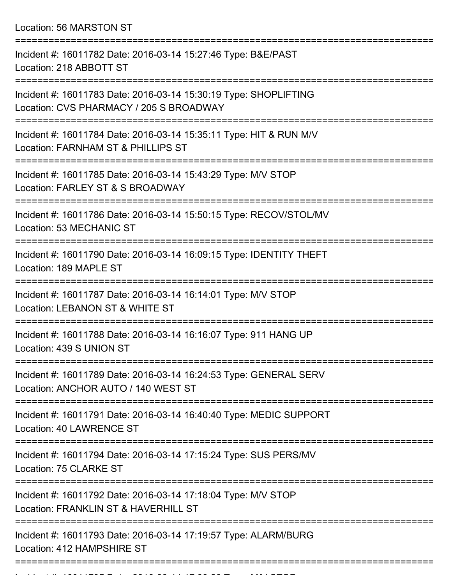Location: 56 MARSTON ST

| Incident #: 16011782 Date: 2016-03-14 15:27:46 Type: B&E/PAST<br>Location: 218 ABBOTT ST                    |
|-------------------------------------------------------------------------------------------------------------|
| Incident #: 16011783 Date: 2016-03-14 15:30:19 Type: SHOPLIFTING<br>Location: CVS PHARMACY / 205 S BROADWAY |
| Incident #: 16011784 Date: 2016-03-14 15:35:11 Type: HIT & RUN M/V<br>Location: FARNHAM ST & PHILLIPS ST    |
| Incident #: 16011785 Date: 2016-03-14 15:43:29 Type: M/V STOP<br>Location: FARLEY ST & S BROADWAY           |
| Incident #: 16011786 Date: 2016-03-14 15:50:15 Type: RECOV/STOL/MV<br>Location: 53 MECHANIC ST              |
| Incident #: 16011790 Date: 2016-03-14 16:09:15 Type: IDENTITY THEFT<br>Location: 189 MAPLE ST               |
| Incident #: 16011787 Date: 2016-03-14 16:14:01 Type: M/V STOP<br>Location: LEBANON ST & WHITE ST            |
| Incident #: 16011788 Date: 2016-03-14 16:16:07 Type: 911 HANG UP<br>Location: 439 S UNION ST                |
| Incident #: 16011789 Date: 2016-03-14 16:24:53 Type: GENERAL SERV<br>Location: ANCHOR AUTO / 140 WEST ST    |
| Incident #: 16011791 Date: 2016-03-14 16:40:40 Type: MEDIC SUPPORT<br>Location: 40 LAWRENCE ST              |
| Incident #: 16011794 Date: 2016-03-14 17:15:24 Type: SUS PERS/MV<br>Location: 75 CLARKE ST                  |
| Incident #: 16011792 Date: 2016-03-14 17:18:04 Type: M/V STOP<br>Location: FRANKLIN ST & HAVERHILL ST       |
| Incident #: 16011793 Date: 2016-03-14 17:19:57 Type: ALARM/BURG<br>Location: 412 HAMPSHIRE ST               |
|                                                                                                             |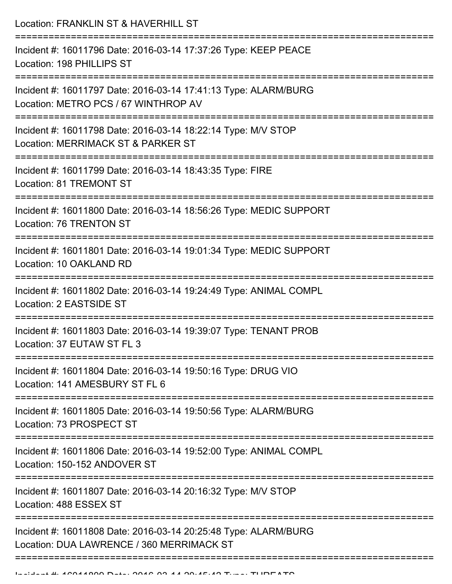Location: FRANKLIN ST & HAVERHILL ST =========================================================================== Incident #: 16011796 Date: 2016-03-14 17:37:26 Type: KEEP PEACE Location: 198 PHILLIPS ST =========================================================================== Incident #: 16011797 Date: 2016-03-14 17:41:13 Type: ALARM/BURG Location: METRO PCS / 67 WINTHROP AV =========================================================================== Incident #: 16011798 Date: 2016-03-14 18:22:14 Type: M/V STOP Location: MERRIMACK ST & PARKER ST =========================================================================== Incident #: 16011799 Date: 2016-03-14 18:43:35 Type: FIRE Location: 81 TREMONT ST =========================================================================== Incident #: 16011800 Date: 2016-03-14 18:56:26 Type: MEDIC SUPPORT Location: 76 TRENTON ST =========================================================================== Incident #: 16011801 Date: 2016-03-14 19:01:34 Type: MEDIC SUPPORT Location: 10 OAKLAND RD =========================================================================== Incident #: 16011802 Date: 2016-03-14 19:24:49 Type: ANIMAL COMPL Location: 2 EASTSIDE ST =========================================================================== Incident #: 16011803 Date: 2016-03-14 19:39:07 Type: TENANT PROB Location: 37 EUTAW ST FL 3 =========================================================================== Incident #: 16011804 Date: 2016-03-14 19:50:16 Type: DRUG VIO Location: 141 AMESBURY ST FL 6 =========================================================================== Incident #: 16011805 Date: 2016-03-14 19:50:56 Type: ALARM/BURG Location: 73 PROSPECT ST =========================================================================== Incident #: 16011806 Date: 2016-03-14 19:52:00 Type: ANIMAL COMPL Location: 150-152 ANDOVER ST =========================================================================== Incident #: 16011807 Date: 2016-03-14 20:16:32 Type: M/V STOP Location: 488 ESSEX ST =========================================================================== Incident #: 16011808 Date: 2016-03-14 20:25:48 Type: ALARM/BURG Location: DUA LAWRENCE / 360 MERRIMACK ST

============================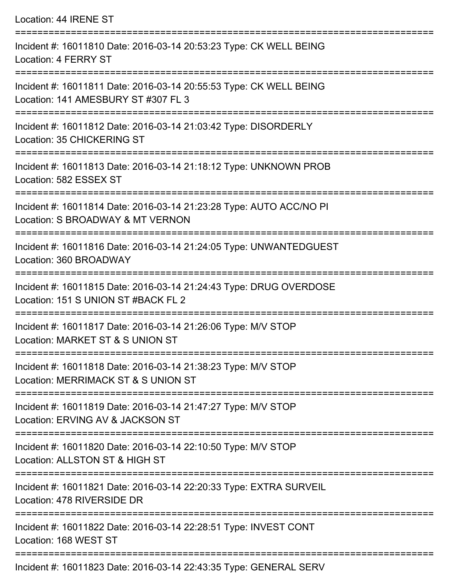Location: 44 IRENE ST =========================================================================== Incident #: 16011810 Date: 2016-03-14 20:53:23 Type: CK WELL BEING Location: 4 FERRY ST =========================================================================== Incident #: 16011811 Date: 2016-03-14 20:55:53 Type: CK WELL BEING Location: 141 AMESBURY ST #307 FL 3 =========================================================================== Incident #: 16011812 Date: 2016-03-14 21:03:42 Type: DISORDERLY Location: 35 CHICKERING ST =========================================================================== Incident #: 16011813 Date: 2016-03-14 21:18:12 Type: UNKNOWN PROB Location: 582 ESSEX ST =========================================================================== Incident #: 16011814 Date: 2016-03-14 21:23:28 Type: AUTO ACC/NO PI Location: S BROADWAY & MT VERNON =========================================================================== Incident #: 16011816 Date: 2016-03-14 21:24:05 Type: UNWANTEDGUEST Location: 360 BROADWAY =========================================================================== Incident #: 16011815 Date: 2016-03-14 21:24:43 Type: DRUG OVERDOSE Location: 151 S UNION ST #BACK FL 2 =========================================================================== Incident #: 16011817 Date: 2016-03-14 21:26:06 Type: M/V STOP Location: MARKET ST & S UNION ST =========================================================================== Incident #: 16011818 Date: 2016-03-14 21:38:23 Type: M/V STOP Location: MERRIMACK ST & S UNION ST =========================================================================== Incident #: 16011819 Date: 2016-03-14 21:47:27 Type: M/V STOP Location: ERVING AV & JACKSON ST =========================================================================== Incident #: 16011820 Date: 2016-03-14 22:10:50 Type: M/V STOP Location: ALLSTON ST & HIGH ST =========================================================================== Incident #: 16011821 Date: 2016-03-14 22:20:33 Type: EXTRA SURVEIL Location: 478 RIVERSIDE DR =========================================================================== Incident #: 16011822 Date: 2016-03-14 22:28:51 Type: INVEST CONT Location: 168 WEST ST ===========================================================================

Incident #: 16011823 Date: 2016-03-14 22:43:35 Type: GENERAL SERV